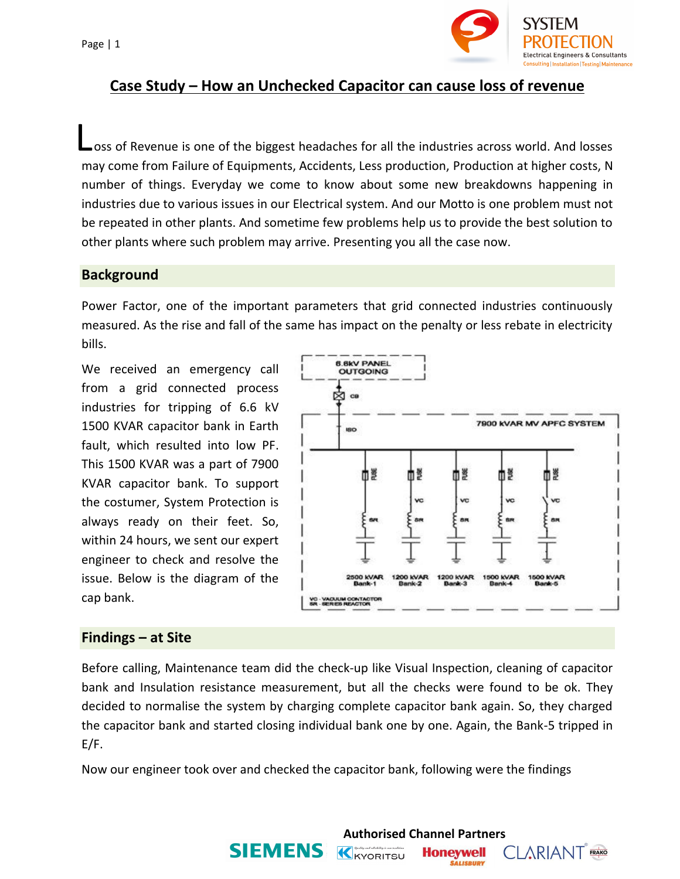Page | 1



# **Case Study – How an Unchecked Capacitor can cause loss of revenue**

oss of Revenue is one of the biggest headaches for all the industries across world. And losses may come from Failure of Equipments, Accidents, Less production, Production at higher costs, N number of things. Everyday we come to know about some new breakdowns happening in industries due to various issues in our Electrical system. And our Motto is one problem must not be repeated in other plants. And sometime few problems help us to provide the best solution to other plants where such problem may arrive. Presenting you all the case now. L

### **Background**

Power Factor, one of the important parameters that grid connected industries continuously measured. As the rise and fall of the same has impact on the penalty or less rebate in electricity bills.

We received an emergency call from a grid connected process industries for tripping of 6.6 kV 1500 KVAR capacitor bank in Earth fault, which resulted into low PF. This 1500 KVAR was a part of 7900 KVAR capacitor bank. To support the costumer, System Protection is always ready on their feet. So, within 24 hours, we sent our expert engineer to check and resolve the issue. Below is the diagram of the cap bank.



#### **Findings – at Site**

Before calling, Maintenance team did the check-up like Visual Inspection, cleaning of capacitor bank and Insulation resistance measurement, but all the checks were found to be ok. They decided to normalise the system by charging complete capacitor bank again. So, they charged the capacitor bank and started closing individual bank one by one. Again, the Bank-5 tripped in E/F.

K KYORITSU

**Authorised Channel Partners**

**Honeywell SALISBURY** 

**CLARIANT** FRAKO

Now our engineer took over and checked the capacitor bank, following were the findings

**SIEMENS**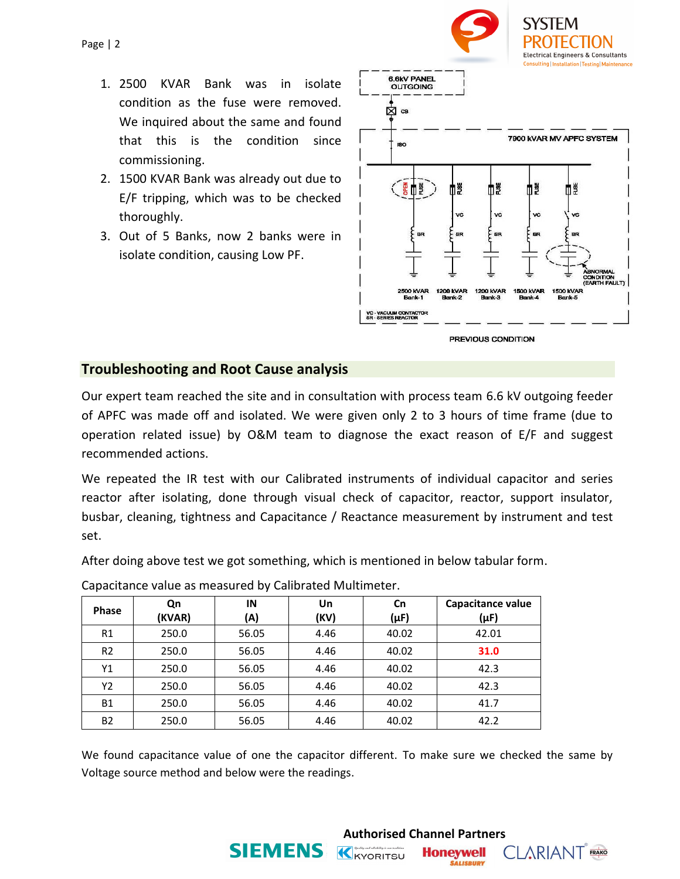

HON

- 1. 2500 KVAR Bank was in isolate condition as the fuse were removed. We inquired about the same and found that this is the condition since commissioning.
- 2. 1500 KVAR Bank was already out due to E/F tripping, which was to be checked thoroughly.
- 3. Out of 5 Banks, now 2 banks were in isolate condition, causing Low PF.



PREVIOUS CONDITION

### **Troubleshooting and Root Cause analysis**

Our expert team reached the site and in consultation with process team 6.6 kV outgoing feeder of APFC was made off and isolated. We were given only 2 to 3 hours of time frame (due to operation related issue) by O&M team to diagnose the exact reason of E/F and suggest recommended actions.

We repeated the IR test with our Calibrated instruments of individual capacitor and series reactor after isolating, done through visual check of capacitor, reactor, support insulator, busbar, cleaning, tightness and Capacitance / Reactance measurement by instrument and test set.

After doing above test we got something, which is mentioned in below tabular form.

| Phase          | Qn<br>(KVAR) | IN<br>(A) | Un<br>(KV) | Cn<br>$(\mu F)$ | Capacitance value<br>(µF) |  |
|----------------|--------------|-----------|------------|-----------------|---------------------------|--|
| R1             | 250.0        | 56.05     | 4.46       | 40.02           | 42.01                     |  |
| R <sub>2</sub> | 250.0        | 56.05     | 4.46       | 40.02           | 31.0                      |  |
| Y1             | 250.0        | 56.05     | 4.46       | 40.02           | 42.3                      |  |
| Y <sub>2</sub> | 250.0        | 56.05     | 4.46       | 40.02           | 42.3                      |  |
| <b>B1</b>      | 250.0        | 56.05     | 4.46       | 40.02           | 41.7                      |  |
| <b>B2</b>      | 250.0        | 56.05     | 4.46       | 40.02           | 42.2                      |  |

**SIEMENS** 

Capacitance value as measured by Calibrated Multimeter.

We found capacitance value of one the capacitor different. To make sure we checked the same by Voltage source method and below were the readings.

K KYORITSU

**Authorised Channel Partners**

**Honeywell SALISBURY** 

**CLARIANT** FRAKO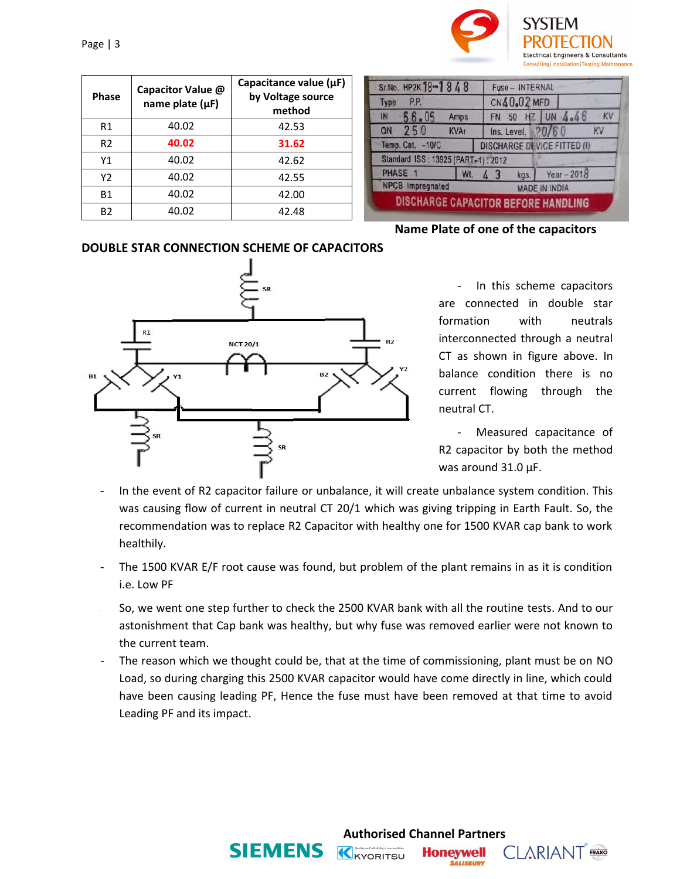

| <b>Phase</b>   | Capacitor Value @<br>name plate $(\mu F)$ | Capacitance value $(\mu F)$<br>by Voltage source<br>method |
|----------------|-------------------------------------------|------------------------------------------------------------|
| R <sub>1</sub> | 40.02                                     | 42.53                                                      |
| R <sub>2</sub> | 40.02                                     | 31.62                                                      |
| Y1             | 40.02                                     | 42.62                                                      |
| Y2             | 40.02                                     | 42.55                                                      |
| <b>B1</b>      | 40.02                                     | 42.00                                                      |
| B2             | 40.02                                     | 42.48                                                      |

| Sr.No. HP2K 18-1848                 |             |                   | Fuse - INTERNAL |  |      |                      |                                    |    |  |
|-------------------------------------|-------------|-------------------|-----------------|--|------|----------------------|------------------------------------|----|--|
| P.P.<br>Type                        |             |                   | CN40.02 MFD     |  |      |                      |                                    |    |  |
| IN<br>56.05                         | <b>Amps</b> |                   |                 |  |      |                      | FN 50 HZ UN 4.46                   | KV |  |
| 250<br>QN                           | <b>KVAr</b> | Ins. Level. 20/60 |                 |  |      |                      | KV                                 |    |  |
| Temp. Cat. - 10/C                   |             |                   |                 |  |      |                      | <b>DISCHARGE DEVICE FITTED (I)</b> |    |  |
| Standard ISS: 13925 (PART-1): 2012  |             |                   |                 |  |      |                      |                                    |    |  |
| PHASE 1                             | Wt.         |                   |                 |  | kgs. |                      | Year $-2018$                       |    |  |
| <b>NPCB</b> Impregnated             |             |                   |                 |  |      | <b>MADE IN INDIA</b> |                                    |    |  |
| DISCHARGE CAPACITOR BEFORE HANDLING |             |                   |                 |  |      |                      |                                    |    |  |

**Name Plate of one of the capacitors**

#### **DOUBLE STAR CONNECTION SCHEME OF CAPACITORS**



In this scheme capacitors are connected in double star formation with neutrals interconnected through a neutral CT as shown in figure above. In balance condition there is no current flowing through the neutral CT.

- Measured capacitance of R2 capacitor by both the method was around 31.0 µF.

**CLARIANT** FRAKO

**Honeywell SALISBURY** 

- In the event of R2 capacitor failure or unbalance, it will create unbalance system condition. This was causing flow of current in neutral CT 20/1 which was giving tripping in Earth Fault. So, the recommendation was to replace R2 Capacitor with healthy one for 1500 KVAR cap bank to work healthily.
- The 1500 KVAR E/F root cause was found, but problem of the plant remains in as it is condition i.e. Low PF
- So, we went one step further to check the 2500 KVAR bank with all the routine tests. And to our astonishment that Cap bank was healthy, but why fuse was removed earlier were not known to the current team.
- The reason which we thought could be, that at the time of commissioning, plant must be on NO Load, so during charging this 2500 KVAR capacitor would have come directly in line, which could have been causing leading PF, Hence the fuse must have been removed at that time to avoid Leading PF and its impact.